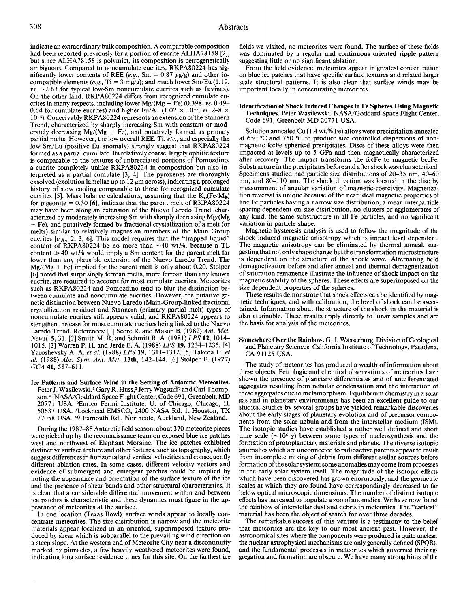indicate an extraordinary bulk composition. A comparable composition had been reported previously for a portion of eucrite ALHA78158 [2], but since ALHA78158 is polymict, its composition is petrogenetically ambiguous. Compared to noncumulate eucrites, RKPA80224 has significantly lower contents of REE (e.g., Sm =  $0.87 \mu g/g$ ) and other incompatible elements (e.g., Ti = 3 mg/g); and much lower Sm/Eu (1.19, *vs.* -2.63 for typical low-Sm noncumulate eucrites such as Juvinas). On the other land, RKPA80224 differs from recognized cumulate eucrites in many respects, including lower  $Mg/(Mg + Fe)$  (0.398, *vs.* 0.49– 0.64 for cumulate eucrites) and higher Eu/A1 (1.02  $\times$  10<sup>-5</sup>, *vs.* 2–8  $\times$  $10<sup>-6</sup>$ . Conceivably RKPA80224 represents an extension of the Stannern Trend, characterized by sharply increasing Sm with constant or moderately decreasing Mg/(Mg + Fe), and putatively formed as primary partial melts. However, the low overall REE, Ti, *etc.,* and especially the low Sm/Eu (positive Eu anomaly) strongly suggest that RKPA80224 formed as a partial cumulate. Its relatively coarse, largely ophitic texture is comparable to the textures of unbrecciated portions of Pomozdino, a eucrite completely unlike RKPA80224 in composition but also interpreted as a partial cumulate [3, 4]. The pyroxenes are thoroughly exsolved (exolution lamellae up to  $12 \mu m$  across), indicating a prolonged history of slow cooling comparable to those for recognized cumulate eucrites [5]. Mass balance calculations, assuming that the  $K_D (Fe/Mg)$ for pigeonite  $= 0.30$  [6], indicate that the parent melt of RKPA80224 may have been along an extension of the Nuevo Laredo Trend, characterized by moderately increasing Sm with sharply decreasing  $Mg/(Mg)$ +Fe), and putatively formed by fractional crystallization of a melt (or melts) similar to relatively magnesian members of the Main Group eucrites  $[e, g, 2, 3, 6]$ . This model requires that the "trapped liquid" content of RKPA80224 be no more than  $\sim$ 40 wt.%, because a TL content  $\gg$  40 wt.% would imply a Sm content for the parent melt far lower than any plausible extension of the Nuevo Laredo Trend. The  $Mg/(Mg + Fe)$  implied for the parent melt is only about 0.20. Stolper [6] noted that surprisingly ferroan melts, more ferroan than any known eucrite, are required to account for most cumulate eucrites. Meteorites such as RKPA80224 and Pomozdino tend to blur the distinction between cumulate and noncumulate eucrites. However, the putative genetic distinction between Nuevo Laredo (Main-Group-linked fractional crystallization residue) and Stannern (primary partial melt) types of noncumulate eucrites still appears valid, and RKPA80224 appears to stengthen the case for most cumulate eucrites being linked to the Nuevo Laredo Trend. References: [1] Score R. and Mason B. (1982) Ant. Met. *News!.* 5, 31. [2] Smith M. R. and Schmitt R. A. (1981) *LPS* 12, 1014- 1015. [3] Warren P. H. and Jerde E. A. (1988) *LPS* 19, 1234-1235. [4] Yaroshevsky A. A. *eta!.* (1988) *LPS* 19, 1311-1312. [5] Takeda H. *et a!.* (1988) *Abs. Sym. Ant. Met.* 13th, 142-144. [6] Stolper E. (1977) *GCA* 41, 587-611.

Ice Patterns and Surface Wind in the Setting of Antarctic Meteorites. Peter J. Wasilewski,<sup>1</sup> Gary R. Huss,<sup>2</sup> Jerry Wagstaff<sup>3</sup> and Carl Thompson.<sup>4 1</sup>NASA/Goddard Space Flight Center, Code 691, Greenbelt, MD 20771 USA. 'Enrico Fermi Institute, U. of Chicago, Chicago, IL 60637 USA. 'Lockheed EMSCO, 2400 NASA Rd. 1, Houston, TX 77058 USA. 49 Exmouth Rd., Northcote, Auckland, New Zealand.

During the 1987-88 Antarctic field season, about 3 70 meteorite pieces were picked up by the reconnaissance team on exposed blue ice patches west and northwest of Elephant Moraine. The ice patches exhibited distinctive surface texture and other features, such as topography, which suggest differences in horizontal and vertical velocities and consequently different ablation rates. In some cases, different velocity vectors and evidence of submergent and emergent patches could be implied by noting the appearance and orientation of the surface texture of the ice and the presence of shear bands and other structural characteristics. It is clear that a considerable differential movement within and between ice patches is characteristic and these dynamics must figure in the appearance of meteorites at the surface.

In one location (Texas Bowl), surface winds appear to locally concentrate meteorites. The size distribution is narrow and the meteorite materials appear localized in an oriented, superimposed texture produced by shear which is subparallel to the prevailing wind direction on a steep slope. At the western end of Meteorite City near a discontinuity marked by pinnacles, a few heavily weathered meteorites were found, indicating long surface residence times for this site. On the farthest ice fields we visited, no meteorites were found. The surface of these fields was dominated by a regular and continuous oriented ripple pattern suggesting little or no significant ablation.

From the field evidence, meteorites appear in greatest concentration on blue ice patches that have specific surface textures and related larger scale structural patterns. It is also clear that surface winds may be important locally in concentrating meteorites.

## Identification of Shock Induced Changes in Fe Spheres Using Magnetic Techniques. Peter Wasilewski. NASA/Goddard Space Flight Center, Code 691, Greenbelt MD 20771 USA.

Solution annealed Cu (1.4 wt.% Fe) alloys were precipitation annealed at 650  $\degree$ C and 750  $\degree$ C to produce size controlled dispersions of nonmagnetic fccFe spherical precipitates. Discs of these alloys were then impacted at levels up to 5 GPa and then magnetically characterized after recovery. The impact transforms the fccFe to magnetic bccFe. Substructure in the precipitates before and after shock was characterized. Specimens studied had particle size distributions of 20-35 nm, 40-60 nm, and 80-110 nm. The shock direction was located in the disc by measurement of angular variation of magnetic-coercivity. Magnetization reversal is unique because of the near ideal magnetic properties of fine Fe particles having a narrow size distribution, a mean interparticle spacing dependent on size distribution, no clusters or agglomerates of any kind, the same substructure in all Fe particles, and no significant variation in particle shape.

Magnetic hysteresis analysis is used to follow the magnitude of the shock induced magnetic anisotropy which is impact level dependent. The magnetic anisotropy can be eliminated by thermal anneal, suggesting that not only shape change but the transformation microstructure is dependent on the structure of the shock wave. Alternating field demagnetization before and after anneal and thermal demagnetization of saturation remanence illustrate the influence of shock impact on the magnetic stability of the spheres. These effects are superimposed on the size dependent properties of the spheres.

These results demonstrate that shock effects can be identified by magnetic techniques, and with calibration, the level of shock can be ascertained. Information about the structure of the shock in the material is also attainable. These results apply directly to lunar samples and are the basis for analysis of the meteorites.

Somewhere Over the Rainbow. G. J. Wasserburg. Division of Geological and Planetary Sciences, California Institute of Technology, Pasadena, CA 91125 USA.

The study of meteorites has produced a wealth of information about these objects. Petrologic and chemical observations of meteorites have shown the presence of planetary differentiates and of undifferentiated aggregates resulting from nebular condensation and the interaction of these aggregates due to metamorphism. Equilibrium chemistry in a solar gas and in planetary environments has been an excellent guide to our studies. Studies by several groups have yielded remarkable discoveries about the early stages of planetary evolution and of precursor components from the solar nebula and from the interstellar medium (ISM). The isotopic studies have established a rather well defined and short time scale  $({\sim}10^6$  y) between some types of nucleosynthesis and the formation of protoplanetary materials and planets. The diverse isotopic anomalies which are unconnected to radioactive parents appear to result from incomplete mixing of debris from different stellar sources before formation of the solar system; some anomalies may come from processes in the early solar system itself. The magnitude of the isotopic effects which have been discovered has grown enormously, and the geometric scales at which they are found have correspondingly decreased to far below optical microscopic dimensions. The number of distinct isotopic effects has increased to populate a zoo of anomalies. We have now found the rainbow of interstellar dust and debris in meteorites. The "earliest" material has been the object of search for over three decades.

The remarkable success of this venture is a testimony to the belief that meteorites are the key to our most ancient past. However, the astronomical sites where the components were produced is quite unclear, the nuclear astrophysical mechanisms are only generally defined (SPQR), and the fundamental processes in meteorites which governed their aggregation and formation are obscure. We have many strong hints of the